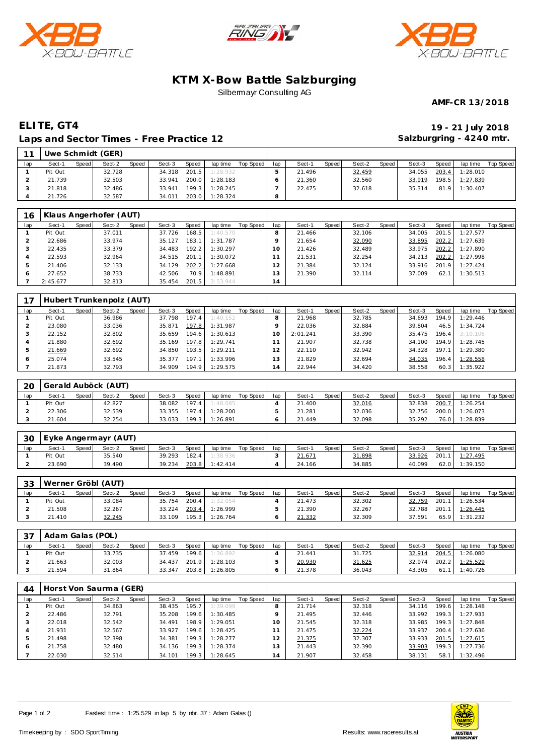





## **KTM X-Bow Battle Salzburging** Silbermayr Consulting AG

**AMF-CR 13/2018**

## **ELITE, GT4 19 - 21 July 2018 Laps and Sector Times - Free Practice 12**

**Salzburgring - 4240 mtr.**

| 11  |         |       | Uwe Schmidt (GER) |       |        |              |          |           |         |        |       |        |       |        |       |          |           |
|-----|---------|-------|-------------------|-------|--------|--------------|----------|-----------|---------|--------|-------|--------|-------|--------|-------|----------|-----------|
| lap | Sect-1  | Speed | Sect-2            | Speed | Sect-3 | <b>Speed</b> | lap time | Top Speed | lap     | Sect-1 | Speed | Sect-2 | Speed | Sect-3 | Speed | lap time | Top Speed |
|     | Pit Out |       | 32.728            |       | 34.318 | 201.5        | 1:28.932 |           |         | 21.496 |       | 32.459 |       | 34.055 | 203.4 | 1:28.010 |           |
|     | 21.739  |       | 32.503            |       | 33.941 | 200.0        | 1:28.183 |           |         | 21.360 |       | 32.560 |       | 33.919 | 198.5 | 1:27.839 |           |
|     | 21.818  |       | 32.486            |       | 33.941 | 199.3        | 1:28.245 |           |         | 22.475 |       | 32.618 |       | 35.314 | 81.9  | 1:30.407 |           |
|     | 21.726  |       | 32.587            |       | 34.011 | 203.0        | 1:28.324 |           | $\circ$ |        |       |        |       |        |       |          |           |

| 16  |          |       | Klaus Angerhofer (AUT) |       |        |       |          |           |                |        |       |        |       |        |       |          |           |
|-----|----------|-------|------------------------|-------|--------|-------|----------|-----------|----------------|--------|-------|--------|-------|--------|-------|----------|-----------|
| lap | Sect-1   | Speed | Sect-2                 | Speed | Sect-3 | Speed | lap time | Top Speed | lap            | Sect-1 | Speed | Sect-2 | Speed | Sect-3 | Speed | lap time | Top Speed |
|     | Pit Out  |       | 37.011                 |       | 37.726 | 168.5 | 1:40.570 |           | 8              | 21.466 |       | 32.106 |       | 34.005 | 201.5 | 1:27.577 |           |
|     | 22.686   |       | 33.974                 |       | 35.127 | 183.1 | 1:31.787 |           | Q              | 21.654 |       | 32.090 |       | 33.895 | 202.2 | 1:27.639 |           |
|     | 22.435   |       | 33.379                 |       | 34.483 | 192.2 | 1:30.297 |           | 10             | 21.426 |       | 32.489 |       | 33.975 | 202.2 | 1:27.890 |           |
| 4   | 22.593   |       | 32.964                 |       | 34.515 | 201   | 1:30.072 |           |                | 21.531 |       | 32.254 |       | 34.213 | 202.2 | 1:27.998 |           |
| .5  | 21.406   |       | 32.133                 |       | 34.129 | 202.2 | 1:27.668 |           |                | 21.384 |       | 32.124 |       | 33.916 | 201.9 | 1:27.424 |           |
|     | 27.652   |       | 38.733                 |       | 42.506 | 70.9  | 1:48.891 |           | 3              | 21.390 |       | 32.114 |       | 37.009 | 62.   | 1:30.513 |           |
|     | 2:45.677 |       | 32.813                 |       | 35.454 | 201.5 | 3:53.944 |           | $\overline{4}$ |        |       |        |       |        |       |          |           |

|              |         |       | Hubert Trunkenpolz (AUT) |       |        |        |          |           |          |          |       |        |       |        |       |          |           |
|--------------|---------|-------|--------------------------|-------|--------|--------|----------|-----------|----------|----------|-------|--------|-------|--------|-------|----------|-----------|
| lap          | Sect-1  | Speed | Sect-2                   | Speed | Sect-3 | Speed  | lap time | Top Speed | lap      | Sect-1   | Speed | Sect-2 | Speed | Sect-3 | Speed | lap time | Top Speed |
|              | Pit Out |       | 36.986                   |       | 37.798 | 197.4  | 1:40.152 |           | 8        | 21.968   |       | 32.785 |       | 34.693 | 194.9 | 1:29.446 |           |
|              | 23.080  |       | 33.036                   |       | 35.871 | 197.8  | 1:31.987 |           |          | 22.036   |       | 32.884 |       | 39.804 | 46.5  | 1:34.724 |           |
|              | 22.152  |       | 32.802                   |       | 35.659 | 194.61 | 1:30.613 |           | $\Omega$ | 2:01.241 |       | 33.390 |       | 35.475 | 196.4 | 3:10.106 |           |
|              | 21.880  |       | 32.692                   |       | 35.169 | 197.8  | 1:29.741 |           |          | 21.907   |       | 32.738 |       | 34.100 | 194.9 | 1:28.745 |           |
| 5            | 21.669  |       | 32.692                   |       | 34.850 | 193.5  | 1:29.211 |           |          | 22.110   |       | 32.942 |       | 34.328 | 197.1 | 1:29.380 |           |
| <sub>0</sub> | 25.074  |       | 33.545                   |       | 35.377 | 197.1  | 1:33.996 |           | 13       | 21.829   |       | 32.694 |       | 34.035 | 196.4 | 1:28.558 |           |
|              | 21.873  |       | 32.793                   |       | 34.909 | 194.9  | 1:29.575 |           | 14       | 22.944   |       | 34.420 |       | 38.558 | 60.3  | 1:35.922 |           |

| 20  | Gerald Auböck (AUT) |         |        |              |        |       |          |           |     |        |       |        |       |        |       |          |           |
|-----|---------------------|---------|--------|--------------|--------|-------|----------|-----------|-----|--------|-------|--------|-------|--------|-------|----------|-----------|
| lap | Sect-1              | Speed i | Sect-2 | <b>Speed</b> | Sect-3 | Speed | lap time | Top Speed | lap | Sect-1 | Speed | Sect-2 | Speed | Sect-3 | Speed | lap time | Top Speed |
|     | Pit Out             |         | 42.827 |              | 38.082 | 197.4 | 1:48.085 |           |     | 21.400 |       | 32.016 |       | 32.838 | 200.7 | 1:26.254 |           |
|     | 22.306              |         | 32.539 |              | 33.355 | 197.4 | 1:28.200 |           |     | 21.281 |       | 32.036 |       | 32.756 | 200.0 | 1:26.073 |           |
|     | 21.604              |         | 32.254 |              | 33.033 | 199.3 | 1:26.891 |           |     | 21.449 |       | 32.098 |       | 35.292 | 76.0  | 1:28.839 |           |

| 30  |         |       | Eyke Angermayr (AUT) |       |        |       |          |           |     |        |       |        |       |        |       |                   |           |
|-----|---------|-------|----------------------|-------|--------|-------|----------|-----------|-----|--------|-------|--------|-------|--------|-------|-------------------|-----------|
| lap | Sect-'  | Speed | Sect-2               | Speed | Sect-3 | Speed | lap time | Top Speed | lap | Sect-1 | Speed | Sect-2 | Speed | Sect-3 | Speed | lap time          | Top Speed |
|     | Pit Out |       | 35.540               |       | 39.293 | 182.4 | 1:38.936 |           |     | 21.671 |       | 31.898 |       | 33.926 | 201.1 | 1 <u>: 27.495</u> |           |
|     | 23.690  |       | 39.490               |       | 39.234 | 203.8 | 1:42.414 |           |     | 24.166 |       | 34.885 |       | 40.099 | 62.0  | 1:39.150          |           |

| 33  |         |       | Werner Gröbl (AUT) |              |        |       |          |           |     |        |       |        |       |        |       |          |           |
|-----|---------|-------|--------------------|--------------|--------|-------|----------|-----------|-----|--------|-------|--------|-------|--------|-------|----------|-----------|
| lap | Sect-1  | Speed | Sect-2             | <b>Speed</b> | Sect-3 | Speed | lap time | Top Speed | lap | Sect-1 | Speed | Sect-2 | Speed | Sect-3 | Speed | lap time | Top Speed |
|     | Pit Out |       | 33.084             |              | 35.754 | 200.4 | 1:32.054 |           |     | 21.473 |       | 32.302 |       | 32.759 | 201.  | 1:26.534 |           |
|     | 21.508  |       | 32.267             |              | 33.224 | 203.4 | 1:26.999 |           |     | 21.390 |       | 32.267 |       | 32.788 | 201.1 | 1:26.445 |           |
|     | 21.410  |       | 32.245             |              | 33.109 | 195.3 | 1:26.764 |           |     | 21.332 |       | 32.309 |       | 37.591 | 65.9  | 1:31.232 |           |

| 37  | Adam Galas (POL) |       |        |       |        |       |          |           |     |        |       |        |         |        |       |          |           |
|-----|------------------|-------|--------|-------|--------|-------|----------|-----------|-----|--------|-------|--------|---------|--------|-------|----------|-----------|
| lap | Sect-1           | Speed | Sect-2 | Speed | Sect-3 | Speed | lap time | Top Speed | lap | Sect-1 | Speed | Sect-2 | Speed I | Sect-3 | Speed | lap time | Top Speed |
|     | Pit Out          |       | 33.735 |       | 37.459 | 199.6 | 1:36.892 |           |     | 21.441 |       | 31.725 |         | 32.914 | 204.5 | 1:26.080 |           |
|     | 21.663           |       | 32.003 |       | 34.437 | 201.9 | 1:28.103 |           |     | 20.930 |       | 31.625 |         | 32.974 | 202.2 | 1:25.529 |           |
|     | 21.594           |       | 31.864 |       | 33.347 | 203.8 | 1:26.805 |           |     | 21.378 |       | 36.043 |         | 43.305 | 61.1  | 1:40.726 |           |

| 44  |         |       | Horst Von Saurma (GER) |       |        |                    |          |           |                |        |       |        |       |        |       |          |           |
|-----|---------|-------|------------------------|-------|--------|--------------------|----------|-----------|----------------|--------|-------|--------|-------|--------|-------|----------|-----------|
| lap | Sect-1  | Speed | Sect-2                 | Speed | Sect-3 | Speed              | lap time | Top Speed | lap            | Sect-1 | Speed | Sect-2 | Speed | Sect-3 | Speed | lap time | Top Speed |
|     | Pit Out |       | 34.863                 |       | 38.435 | 195.7              | 1:39.099 |           | 8              | 21.714 |       | 32.318 |       | 34.116 | 199.6 | 1:28.148 |           |
|     | 22.486  |       | 32.791                 |       | 35.208 | 199.6              | 1:30.485 |           | Q              | 21.495 |       | 32.446 |       | 33.992 | 199.3 | 1:27.933 |           |
|     | 22.018  |       | 32.542                 |       | 34.491 | 198.9              | 1:29.051 |           | 10             | 21.545 |       | 32.318 |       | 33.985 | 199.3 | 1:27.848 |           |
| 4   | 21.931  |       | 32.567                 |       | 33.927 | 199.6              | 1:28.425 |           |                | 21.475 |       | 32.224 |       | 33.937 | 200.4 | 1:27.636 |           |
| .5  | 21.498  |       | 32.398                 |       | 34.381 | 199.3              | 1:28.277 |           |                | 21.375 |       | 32.307 |       | 33.933 | 201.5 | 1:27.615 |           |
|     | 21.758  |       | 32.480                 |       | 34.136 | 199.3              | 1:28.374 |           | l 3            | 21.443 |       | 32.390 |       | 33.903 | 199.3 | 1:27.736 |           |
|     | 22.030  |       | 32.514                 |       | 34.101 | 199.3 <sub>1</sub> | 1:28.645 |           | $\overline{4}$ | 21.907 |       | 32.458 |       | 38.131 | 58.1  | 1:32.496 |           |